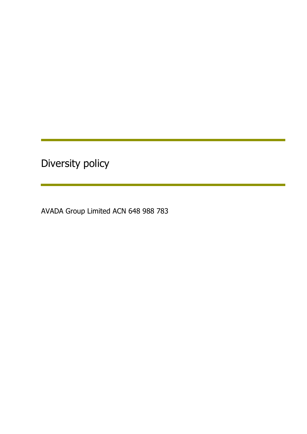Diversity policy

AVADA Group Limited ACN 648 988 783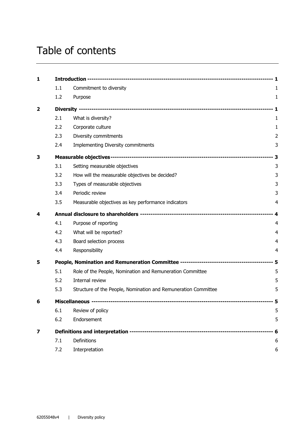# Table of contents

| 1                       |     |                                                                |                |
|-------------------------|-----|----------------------------------------------------------------|----------------|
|                         | 1.1 | Commitment to diversity                                        | 1              |
|                         | 1.2 | Purpose                                                        | $\mathbf{1}$   |
| $\overline{\mathbf{2}}$ |     |                                                                |                |
|                         | 2.1 | What is diversity?                                             | 1              |
|                         | 2.2 | Corporate culture                                              | 1              |
|                         | 2.3 | Diversity commitments                                          | $\overline{2}$ |
|                         | 2.4 | <b>Implementing Diversity commitments</b>                      | 3              |
| 3                       |     |                                                                |                |
|                         | 3.1 | Setting measurable objectives                                  | 3              |
|                         | 3.2 | How will the measurable objectives be decided?                 | 3              |
|                         | 3.3 | Types of measurable objectives                                 | 3              |
|                         | 3.4 | Periodic review                                                | 3              |
|                         | 3.5 | Measurable objectives as key performance indicators            | 4              |
| 4                       |     |                                                                |                |
|                         | 4.1 | Purpose of reporting                                           | 4              |
|                         | 4.2 | What will be reported?                                         | 4              |
|                         | 4.3 | Board selection process                                        | 4              |
|                         | 4.4 | Responsibility                                                 | 4              |
| 5                       |     |                                                                |                |
|                         | 5.1 | Role of the People, Nomination and Remuneration Committee      | 5              |
|                         | 5.2 | Internal review                                                | 5              |
|                         | 5.3 | Structure of the People, Nomination and Remuneration Committee | 5              |
| 6                       |     |                                                                |                |
|                         | 6.1 | Review of policy                                               | 5              |
|                         | 6.2 | Endorsement                                                    | 5              |
| 7                       |     |                                                                |                |
|                         | 7.1 | Definitions                                                    | 6              |
|                         | 7.2 | Interpretation                                                 | 6              |
|                         |     |                                                                |                |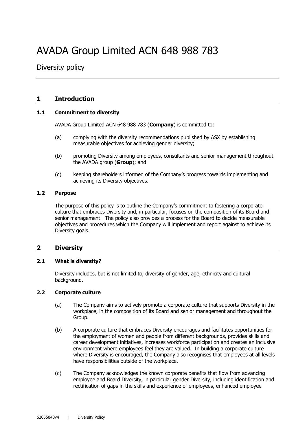# AVADA Group Limited ACN 648 988 783

Diversity policy

# **1 Introduction**

#### **1.1 Commitment to diversity**

AVADA Group Limited ACN 648 988 783 (**Company**) is committed to:

- (a) complying with the diversity recommendations published by ASX by establishing measurable objectives for achieving gender diversity;
- (b) promoting Diversity among employees, consultants and senior management throughout the AVADA group (**Group**); and
- (c) keeping shareholders informed of the Company's progress towards implementing and achieving its Diversity objectives.

#### **1.2 Purpose**

The purpose of this policy is to outline the Company's commitment to fostering a corporate culture that embraces Diversity and, in particular, focuses on the composition of its Board and senior management. The policy also provides a process for the Board to decide measurable objectives and procedures which the Company will implement and report against to achieve its Diversity goals.

## **2 Diversity**

#### **2.1 What is diversity?**

Diversity includes, but is not limited to, diversity of gender, age, ethnicity and cultural background.

#### **2.2 Corporate culture**

- (a) The Company aims to actively promote a corporate culture that supports Diversity in the workplace, in the composition of its Board and senior management and throughout the Group.
- (b) A corporate culture that embraces Diversity encourages and facilitates opportunities for the employment of women and people from different backgrounds, provides skills and career development initiatives, increases workforce participation and creates an inclusive environment where employees feel they are valued. In building a corporate culture where Diversity is encouraged, the Company also recognises that employees at all levels have responsibilities outside of the workplace.
- (c) The Company acknowledges the known corporate benefits that flow from advancing employee and Board Diversity, in particular gender Diversity, including identification and rectification of gaps in the skills and experience of employees, enhanced employee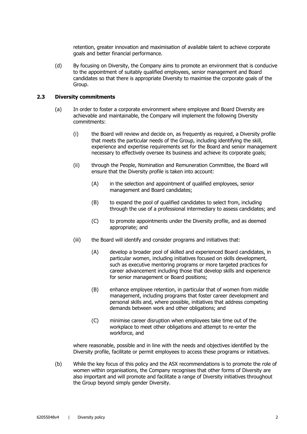retention, greater innovation and maximisation of available talent to achieve corporate goals and better financial performance.

(d) By focusing on Diversity, the Company aims to promote an environment that is conducive to the appointment of suitably qualified employees, senior management and Board candidates so that there is appropriate Diversity to maximise the corporate goals of the Group.

#### **2.3 Diversity commitments**

- (a) In order to foster a corporate environment where employee and Board Diversity are achievable and maintainable, the Company will implement the following Diversity commitments:
	- (i) the Board will review and decide on, as frequently as required, a Diversity profile that meets the particular needs of the Group, including identifying the skill, experience and expertise requirements set for the Board and senior management necessary to effectively oversee its business and achieve its corporate goals;
	- (ii) through the People, Nomination and Remuneration Committee, the Board will ensure that the Diversity profile is taken into account:
		- (A) in the selection and appointment of qualified employees, senior management and Board candidates;
		- (B) to expand the pool of qualified candidates to select from, including through the use of a professional intermediary to assess candidates; and
		- (C) to promote appointments under the Diversity profile, and as deemed appropriate; and
	- (iii) the Board will identify and consider programs and initiatives that:
		- (A) develop a broader pool of skilled and experienced Board candidates, in particular women, including initiatives focused on skills development, such as executive mentoring programs or more targeted practices for career advancement including those that develop skills and experience for senior management or Board positions;
		- (B) enhance employee retention, in particular that of women from middle management, including programs that foster career development and personal skills and, where possible, initiatives that address competing demands between work and other obligations; and
		- (C) minimise career disruption when employees take time out of the workplace to meet other obligations and attempt to re-enter the workforce, and

where reasonable, possible and in line with the needs and objectives identified by the Diversity profile, facilitate or permit employees to access these programs or initiatives.

(b) While the key focus of this policy and the ASX recommendations is to promote the role of women within organisations, the Company recognises that other forms of Diversity are also important and will promote and facilitate a range of Diversity initiatives throughout the Group beyond simply gender Diversity.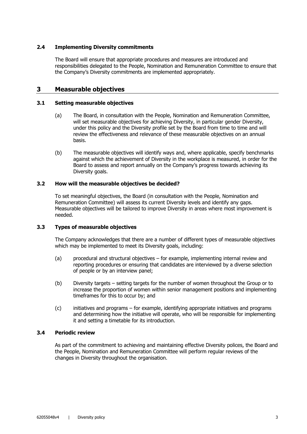#### **2.4 Implementing Diversity commitments**

The Board will ensure that appropriate procedures and measures are introduced and responsibilities delegated to the People, Nomination and Remuneration Committee to ensure that the Company's Diversity commitments are implemented appropriately.

# **3 Measurable objectives**

#### **3.1 Setting measurable objectives**

- (a) The Board, in consultation with the People, Nomination and Remuneration Committee, will set measurable objectives for achieving Diversity, in particular gender Diversity, under this policy and the Diversity profile set by the Board from time to time and will review the effectiveness and relevance of these measurable objectives on an annual basis.
- (b) The measurable objectives will identify ways and, where applicable, specify benchmarks against which the achievement of Diversity in the workplace is measured, in order for the Board to assess and report annually on the Company's progress towards achieving its Diversity goals.

#### **3.2 How will the measurable objectives be decided?**

To set meaningful objectives, the Board (in consultation with the People, Nomination and Remuneration Committee) will assess its current Diversity levels and identify any gaps. Measurable objectives will be tailored to improve Diversity in areas where most improvement is needed.

#### **3.3 Types of measurable objectives**

The Company acknowledges that there are a number of different types of measurable objectives which may be implemented to meet its Diversity goals, including:

- (a) procedural and structural objectives for example, implementing internal review and reporting procedures or ensuring that candidates are interviewed by a diverse selection of people or by an interview panel;
- (b) Diversity targets setting targets for the number of women throughout the Group or to increase the proportion of women within senior management positions and implementing timeframes for this to occur by; and
- (c) initiatives and programs for example, identifying appropriate initiatives and programs and determining how the initiative will operate, who will be responsible for implementing it and setting a timetable for its introduction.

#### **3.4 Periodic review**

As part of the commitment to achieving and maintaining effective Diversity polices, the Board and the People, Nomination and Remuneration Committee will perform regular reviews of the changes in Diversity throughout the organisation.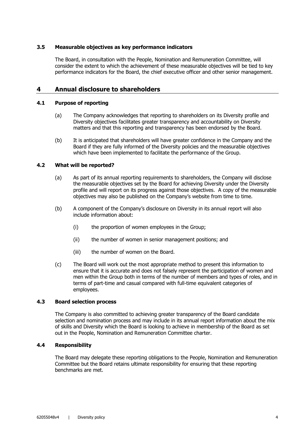#### **3.5 Measurable objectives as key performance indicators**

The Board, in consultation with the People, Nomination and Remuneration Committee, will consider the extent to which the achievement of these measurable objectives will be tied to key performance indicators for the Board, the chief executive officer and other senior management.

# **4 Annual disclosure to shareholders**

#### **4.1 Purpose of reporting**

- (a) The Company acknowledges that reporting to shareholders on its Diversity profile and Diversity objectives facilitates greater transparency and accountability on Diversity matters and that this reporting and transparency has been endorsed by the Board.
- (b) It is anticipated that shareholders will have greater confidence in the Company and the Board if they are fully informed of the Diversity policies and the measurable objectives which have been implemented to facilitate the performance of the Group.

#### **4.2 What will be reported?**

- (a) As part of its annual reporting requirements to shareholders, the Company will disclose the measurable objectives set by the Board for achieving Diversity under the Diversity profile and will report on its progress against those objectives. A copy of the measurable objectives may also be published on the Company's website from time to time.
- (b) A component of the Company's disclosure on Diversity in its annual report will also include information about:
	- (i) the proportion of women employees in the Group;
	- (ii) the number of women in senior management positions; and
	- (iii) the number of women on the Board.
- (c) The Board will work out the most appropriate method to present this information to ensure that it is accurate and does not falsely represent the participation of women and men within the Group both in terms of the number of members and types of roles, and in terms of part-time and casual compared with full-time equivalent categories of employees.

#### **4.3 Board selection process**

The Company is also committed to achieving greater transparency of the Board candidate selection and nomination process and may include in its annual report information about the mix of skills and Diversity which the Board is looking to achieve in membership of the Board as set out in the People, Nomination and Remuneration Committee charter.

#### **4.4 Responsibility**

The Board may delegate these reporting obligations to the People, Nomination and Remuneration Committee but the Board retains ultimate responsibility for ensuring that these reporting benchmarks are met.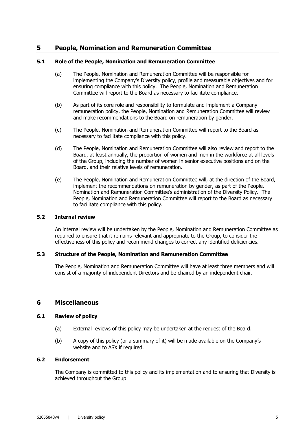# **5 People, Nomination and Remuneration Committee**

#### **5.1 Role of the People, Nomination and Remuneration Committee**

- (a) The People, Nomination and Remuneration Committee will be responsible for implementing the Company's Diversity policy, profile and measurable objectives and for ensuring compliance with this policy. The People, Nomination and Remuneration Committee will report to the Board as necessary to facilitate compliance.
- (b) As part of its core role and responsibility to formulate and implement a Company remuneration policy, the People, Nomination and Remuneration Committee will review and make recommendations to the Board on remuneration by gender.
- (c) The People, Nomination and Remuneration Committee will report to the Board as necessary to facilitate compliance with this policy.
- (d) The People, Nomination and Remuneration Committee will also review and report to the Board, at least annually, the proportion of women and men in the workforce at all levels of the Group, including the number of women in senior executive positions and on the Board, and their relative levels of remuneration.
- (e) The People, Nomination and Remuneration Committee will, at the direction of the Board, implement the recommendations on remuneration by gender, as part of the People, Nomination and Remuneration Committee's administration of the Diversity Policy. The People, Nomination and Remuneration Committee will report to the Board as necessary to facilitate compliance with this policy.

#### **5.2 Internal review**

An internal review will be undertaken by the People, Nomination and Remuneration Committee as required to ensure that it remains relevant and appropriate to the Group, to consider the effectiveness of this policy and recommend changes to correct any identified deficiencies.

#### **5.3 Structure of the People, Nomination and Remuneration Committee**

The People, Nomination and Remuneration Committee will have at least three members and will consist of a majority of independent Directors and be chaired by an independent chair.

## **6 Miscellaneous**

#### **6.1 Review of policy**

- (a) External reviews of this policy may be undertaken at the request of the Board.
- (b) A copy of this policy (or a summary of it) will be made available on the Company's website and to ASX if required.

#### **6.2 Endorsement**

The Company is committed to this policy and its implementation and to ensuring that Diversity is achieved throughout the Group.